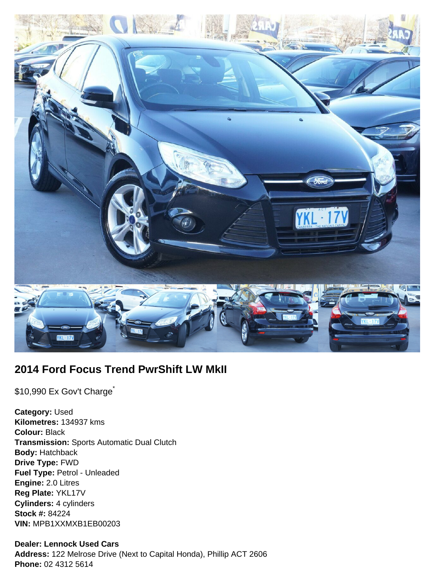

# **2014 Ford Focus Trend PwrShift LW MkII**

\$10,990 Ex Gov't Charge<sup>\*</sup>

**Category:** Used **Kilometres:** 134937 kms **Colour:** Black **Transmission:** Sports Automatic Dual Clutch **Body:** Hatchback **Drive Type:** FWD **Fuel Type:** Petrol - Unleaded **Engine:** 2.0 Litres **Reg Plate:** YKL17V **Cylinders:** 4 cylinders **Stock #:** 84224 **VIN:** MPB1XXMXB1EB00203

### **Dealer: Lennock Used Cars**

**Address:** 122 Melrose Drive (Next to Capital Honda), Phillip ACT 2606 **Phone:** 02 4312 5614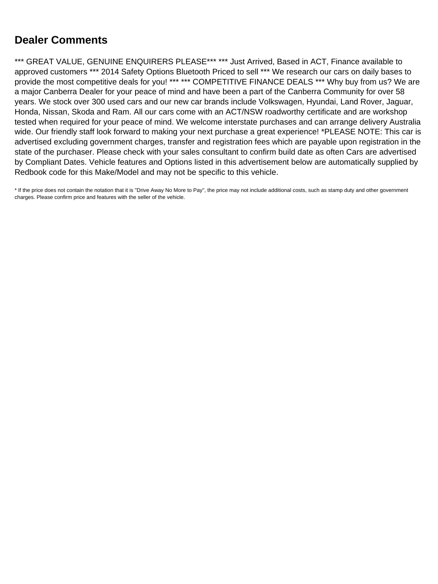# **Dealer Comments**

\*\*\* GREAT VALUE, GENUINE ENQUIRERS PLEASE\*\*\* \*\*\* Just Arrived, Based in ACT, Finance available to approved customers \*\*\* 2014 Safety Options Bluetooth Priced to sell \*\*\* We research our cars on daily bases to provide the most competitive deals for you! \*\*\* \*\*\* COMPETITIVE FINANCE DEALS \*\*\* Why buy from us? We are a major Canberra Dealer for your peace of mind and have been a part of the Canberra Community for over 58 years. We stock over 300 used cars and our new car brands include Volkswagen, Hyundai, Land Rover, Jaguar, Honda, Nissan, Skoda and Ram. All our cars come with an ACT/NSW roadworthy certificate and are workshop tested when required for your peace of mind. We welcome interstate purchases and can arrange delivery Australia wide. Our friendly staff look forward to making your next purchase a great experience! \*PLEASE NOTE: This car is advertised excluding government charges, transfer and registration fees which are payable upon registration in the state of the purchaser. Please check with your sales consultant to confirm build date as often Cars are advertised by Compliant Dates. Vehicle features and Options listed in this advertisement below are automatically supplied by Redbook code for this Make/Model and may not be specific to this vehicle.

\* If the price does not contain the notation that it is "Drive Away No More to Pay", the price may not include additional costs, such as stamp duty and other government charges. Please confirm price and features with the seller of the vehicle.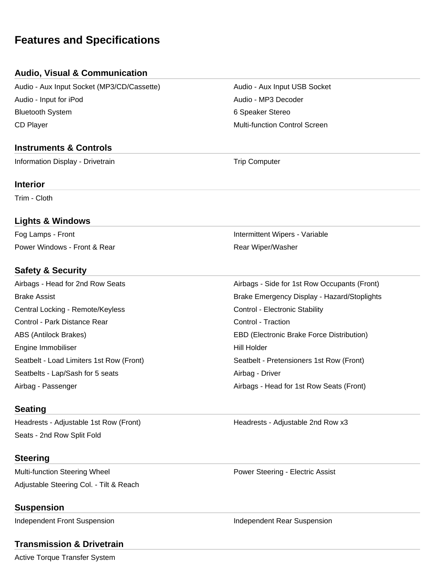# **Features and Specifications**

## **Audio, Visual & Communication**

Audio - Aux Input Socket (MP3/CD/Cassette) Audio - Aux Input USB Socket Audio - Input for iPod Audio - MP3 Decoder Bluetooth System **6 Speaker Stereo** 6 Speaker Stereo CD Player **Multi-function Control Screen** Multi-function Control Screen

## **Instruments & Controls**

Information Display - Drivetrain Trip Computer

#### **Interior**

Trim - Cloth

#### **Lights & Windows**

Power Windows - Front & Rear **Rear Michael Accord Power Windows** - Front & Rear Michael Power Rear Wiper/Washer

## **Safety & Security**

Airbags - Head for 2nd Row Seats Airbags - Side for 1st Row Occupants (Front) Brake Assist Brake Emergency Display - Hazard/Stoplights Central Locking - Remote/Keyless Central Locking - Remote/Keyless Control - Electronic Stability Control - Park Distance Rear Control - Traction Control - Traction ABS (Antilock Brakes) EBD (Electronic Brake Force Distribution) Engine Immobiliser National School and The Hill Holder Seatbelt - Load Limiters 1st Row (Front) Seatbelt - Pretensioners 1st Row (Front) Seatbelts - Lap/Sash for 5 seats Airbag - Driver Airbag - Passenger **Airbags - Head for 1st Row Seats (Front)** 

## **Seating**

Headrests - Adjustable 1st Row (Front) The Meadrests - Adjustable 2nd Row x3 Seats - 2nd Row Split Fold

#### **Steering**

Multi-function Steering Wheel **Power Steering - Electric Assist** Power Steering - Electric Assist Adjustable Steering Col. - Tilt & Reach

#### **Suspension**

Independent Front Suspension **Independent Rear Suspension** 

## **Transmission & Drivetrain**

Active Torque Transfer System

Fog Lamps - Front Intermittent Wipers - Variable